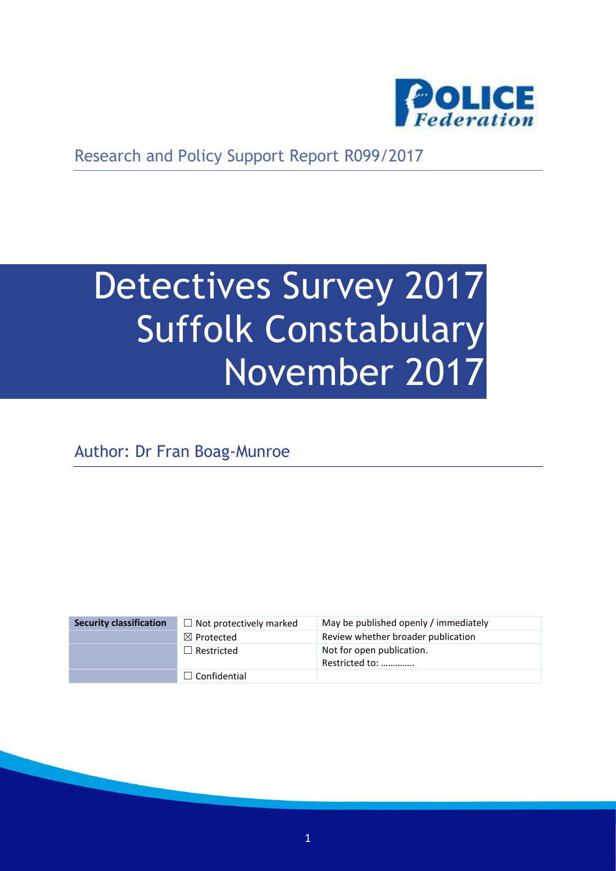

Research and Policy Support Report R099/2017

# Detectives Survey 2017 Suffolk Constabulary November 2017

Author: Dr Fran Boag-Munroe

| <b>Security classification</b> | $\Box$ Not protectively marked | May be published openly / immediately       |
|--------------------------------|--------------------------------|---------------------------------------------|
|                                | $\boxtimes$ Protected          | Review whether broader publication          |
|                                | $\Box$ Restricted              | Not for open publication.<br>Restricted to: |
|                                | $\Box$ Confidential            |                                             |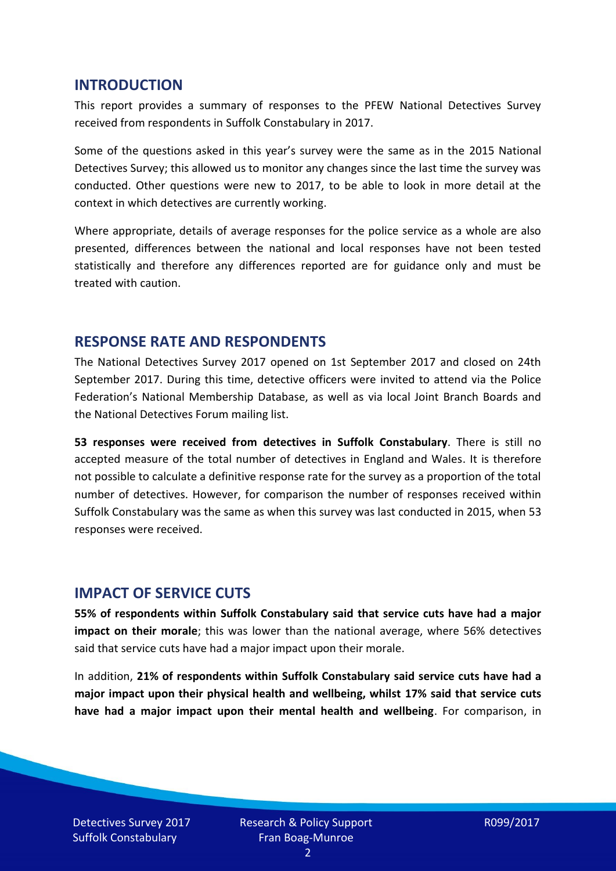#### **INTRODUCTION**

This report provides a summary of responses to the PFEW National Detectives Survey received from respondents in Suffolk Constabulary in 2017.

Some of the questions asked in this year's survey were the same as in the 2015 National Detectives Survey; this allowed us to monitor any changes since the last time the survey was conducted. Other questions were new to 2017, to be able to look in more detail at the context in which detectives are currently working.

Where appropriate, details of average responses for the police service as a whole are also presented, differences between the national and local responses have not been tested statistically and therefore any differences reported are for guidance only and must be treated with caution.

#### **RESPONSE RATE AND RESPONDENTS**

The National Detectives Survey 2017 opened on 1st September 2017 and closed on 24th September 2017. During this time, detective officers were invited to attend via the Police Federation's National Membership Database, as well as via local Joint Branch Boards and the National Detectives Forum mailing list.

**53 responses were received from detectives in Suffolk Constabulary**. There is still no accepted measure of the total number of detectives in England and Wales. It is therefore not possible to calculate a definitive response rate for the survey as a proportion of the total number of detectives. However, for comparison the number of responses received within Suffolk Constabulary was the same as when this survey was last conducted in 2015, when 53 responses were received.

#### **IMPACT OF SERVICE CUTS**

**55% of respondents within Suffolk Constabulary said that service cuts have had a major impact on their morale**; this was lower than the national average, where 56% detectives said that service cuts have had a major impact upon their morale.

In addition, **21% of respondents within Suffolk Constabulary said service cuts have had a major impact upon their physical health and wellbeing, whilst 17% said that service cuts have had a major impact upon their mental health and wellbeing**. For comparison, in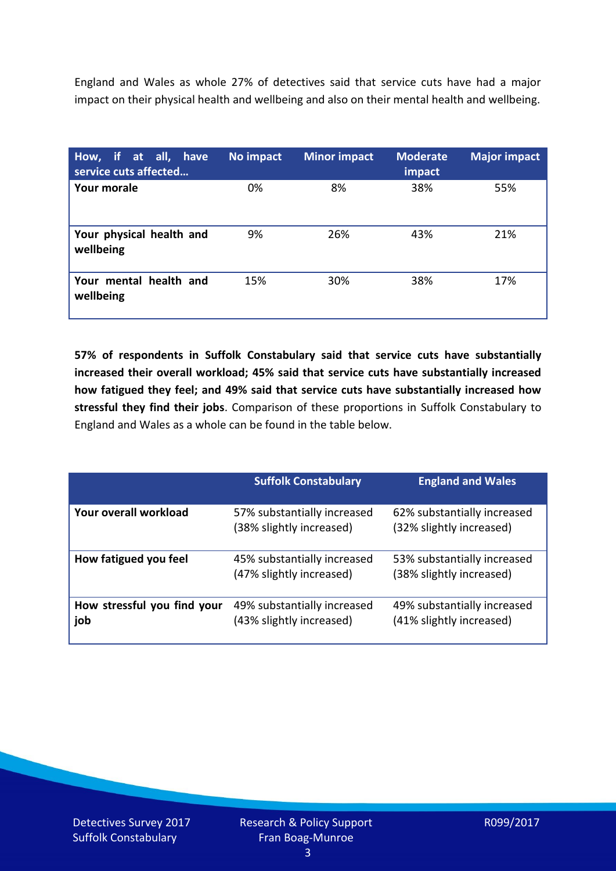England and Wales as whole 27% of detectives said that service cuts have had a major impact on their physical health and wellbeing and also on their mental health and wellbeing.

| How, if at all, have<br>service cuts affected | No impact | <b>Minor impact</b> | <b>Moderate</b><br>impact | <b>Major impact</b> |
|-----------------------------------------------|-----------|---------------------|---------------------------|---------------------|
| Your morale                                   | 0%        | 8%                  | 38%                       | 55%                 |
| Your physical health and<br>wellbeing         | 9%        | 26%                 | 43%                       | 21%                 |
| Your mental health and<br>wellbeing           | 15%       | 30%                 | 38%                       | 17%                 |

**57% of respondents in Suffolk Constabulary said that service cuts have substantially increased their overall workload; 45% said that service cuts have substantially increased how fatigued they feel; and 49% said that service cuts have substantially increased how stressful they find their jobs**. Comparison of these proportions in Suffolk Constabulary to England and Wales as a whole can be found in the table below.

|                                    | <b>Suffolk Constabulary</b>                             | <b>England and Wales</b>                                |
|------------------------------------|---------------------------------------------------------|---------------------------------------------------------|
| Your overall workload              | 57% substantially increased<br>(38% slightly increased) | 62% substantially increased<br>(32% slightly increased) |
| How fatigued you feel              | 45% substantially increased<br>(47% slightly increased) | 53% substantially increased<br>(38% slightly increased) |
| How stressful you find your<br>job | 49% substantially increased<br>(43% slightly increased) | 49% substantially increased<br>(41% slightly increased) |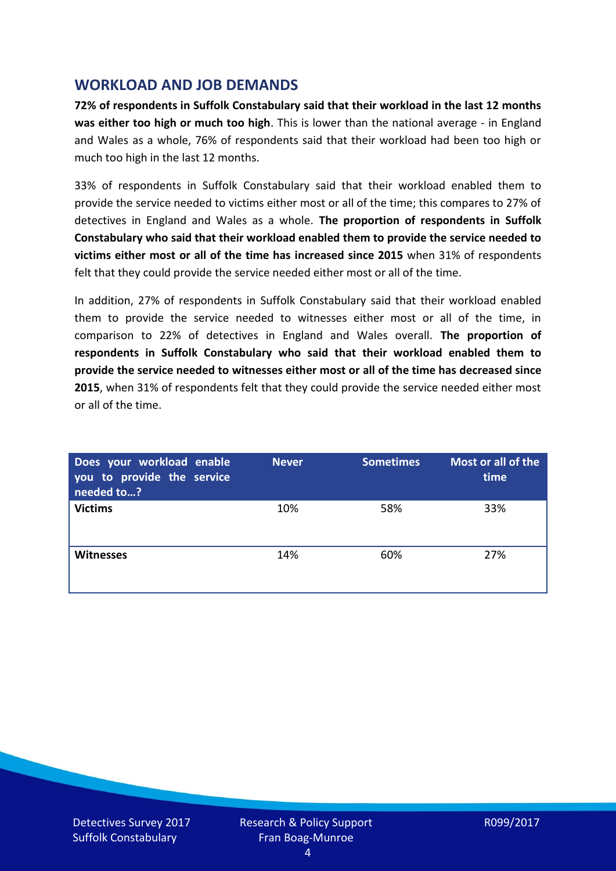## **WORKLOAD AND JOB DEMANDS**

**72% of respondents in Suffolk Constabulary said that their workload in the last 12 months was either too high or much too high**. This is lower than the national average - in England and Wales as a whole, 76% of respondents said that their workload had been too high or much too high in the last 12 months.

33% of respondents in Suffolk Constabulary said that their workload enabled them to provide the service needed to victims either most or all of the time; this compares to 27% of detectives in England and Wales as a whole. **The proportion of respondents in Suffolk Constabulary who said that their workload enabled them to provide the service needed to victims either most or all of the time has increased since 2015** when 31% of respondents felt that they could provide the service needed either most or all of the time.

In addition, 27% of respondents in Suffolk Constabulary said that their workload enabled them to provide the service needed to witnesses either most or all of the time, in comparison to 22% of detectives in England and Wales overall. **The proportion of respondents in Suffolk Constabulary who said that their workload enabled them to provide the service needed to witnesses either most or all of the time has decreased since 2015**, when 31% of respondents felt that they could provide the service needed either most or all of the time.

| Does your workload enable<br>you to provide the service<br>needed to? | <b>Never</b> | <b>Sometimes</b> | Most or all of the<br>time |
|-----------------------------------------------------------------------|--------------|------------------|----------------------------|
| <b>Victims</b>                                                        | 10%          | 58%              | 33%                        |
| <b>Witnesses</b>                                                      | 14%          | 60%              | 27%                        |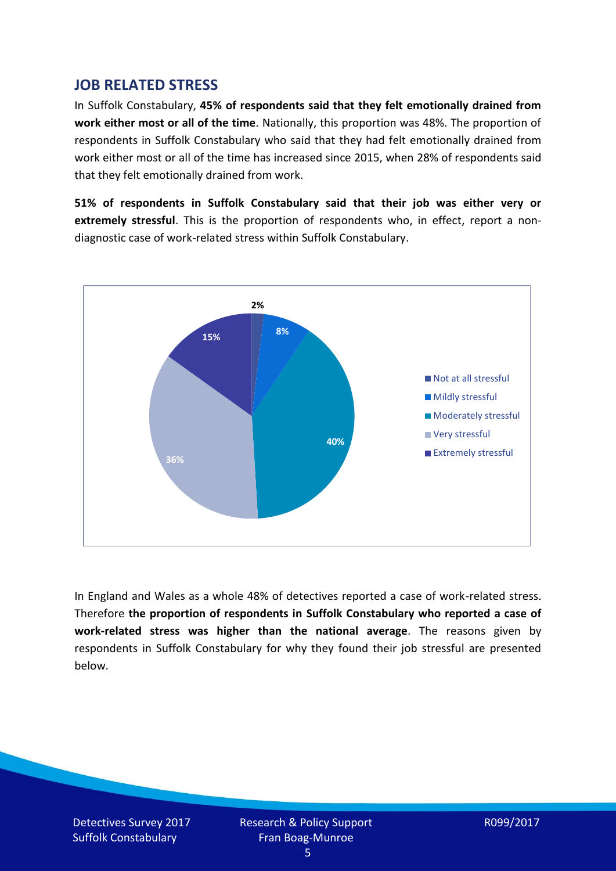## **JOB RELATED STRESS**

In Suffolk Constabulary, **45% of respondents said that they felt emotionally drained from work either most or all of the time**. Nationally, this proportion was 48%. The proportion of respondents in Suffolk Constabulary who said that they had felt emotionally drained from work either most or all of the time has increased since 2015, when 28% of respondents said that they felt emotionally drained from work.

**51% of respondents in Suffolk Constabulary said that their job was either very or extremely stressful**. This is the proportion of respondents who, in effect, report a nondiagnostic case of work-related stress within Suffolk Constabulary.



In England and Wales as a whole 48% of detectives reported a case of work-related stress. Therefore **the proportion of respondents in Suffolk Constabulary who reported a case of work-related stress was higher than the national average**. The reasons given by respondents in Suffolk Constabulary for why they found their job stressful are presented below.

Detectives Survey 2017 Suffolk Constabulary

Research & Policy Support Fran Boag-Munroe

R099/2017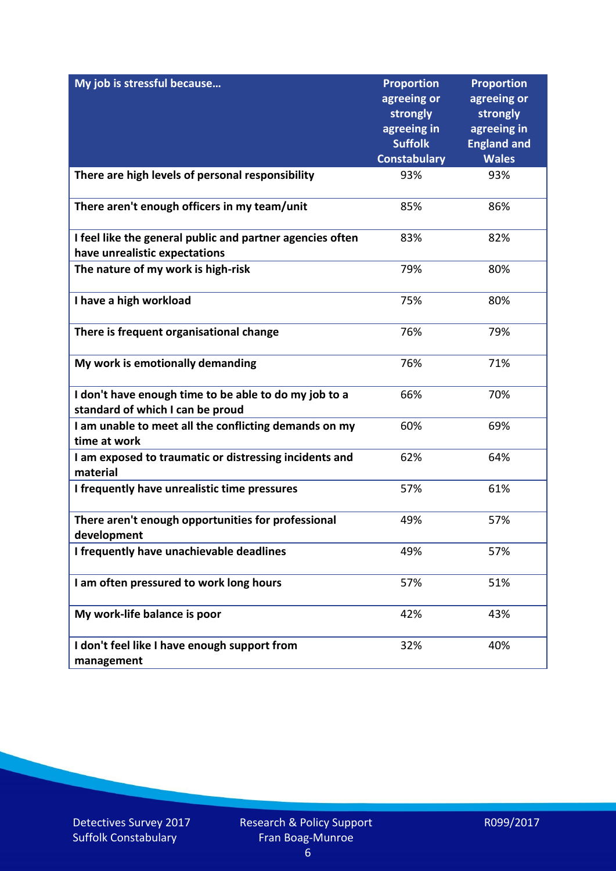| My job is stressful because                                                                | <b>Proportion</b><br>agreeing or | <b>Proportion</b><br>agreeing or |
|--------------------------------------------------------------------------------------------|----------------------------------|----------------------------------|
|                                                                                            | strongly                         | strongly                         |
|                                                                                            | agreeing in                      | agreeing in                      |
|                                                                                            | <b>Suffolk</b>                   | <b>England and</b>               |
|                                                                                            | <b>Constabulary</b>              | <b>Wales</b>                     |
| There are high levels of personal responsibility                                           | 93%                              | 93%                              |
| There aren't enough officers in my team/unit                                               | 85%                              | 86%                              |
| I feel like the general public and partner agencies often<br>have unrealistic expectations | 83%                              | 82%                              |
|                                                                                            |                                  |                                  |
| The nature of my work is high-risk                                                         | 79%                              | 80%                              |
| I have a high workload                                                                     | 75%                              | 80%                              |
| There is frequent organisational change                                                    | 76%                              | 79%                              |
| My work is emotionally demanding                                                           | 76%                              | 71%                              |
| I don't have enough time to be able to do my job to a                                      | 66%                              | 70%                              |
| standard of which I can be proud                                                           |                                  |                                  |
| I am unable to meet all the conflicting demands on my<br>time at work                      | 60%                              | 69%                              |
| I am exposed to traumatic or distressing incidents and<br>material                         | 62%                              | 64%                              |
| I frequently have unrealistic time pressures                                               | 57%                              | 61%                              |
| There aren't enough opportunities for professional<br>development                          | 49%                              | 57%                              |
| I frequently have unachievable deadlines                                                   | 49%                              | 57%                              |
| I am often pressured to work long hours                                                    | 57%                              | 51%                              |
| My work-life balance is poor                                                               | 42%                              | 43%                              |
| I don't feel like I have enough support from<br>management                                 | 32%                              | 40%                              |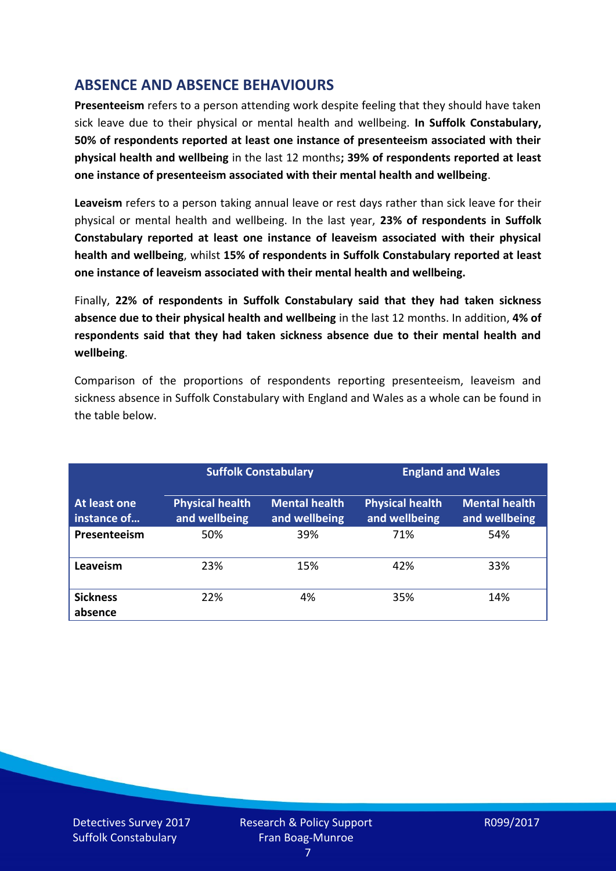# **ABSENCE AND ABSENCE BEHAVIOURS**

**Presenteeism** refers to a person attending work despite feeling that they should have taken sick leave due to their physical or mental health and wellbeing. **In Suffolk Constabulary, 50% of respondents reported at least one instance of presenteeism associated with their physical health and wellbeing** in the last 12 months**; 39% of respondents reported at least one instance of presenteeism associated with their mental health and wellbeing**.

**Leaveism** refers to a person taking annual leave or rest days rather than sick leave for their physical or mental health and wellbeing. In the last year, **23% of respondents in Suffolk Constabulary reported at least one instance of leaveism associated with their physical health and wellbeing**, whilst **15% of respondents in Suffolk Constabulary reported at least one instance of leaveism associated with their mental health and wellbeing.**

Finally, **22% of respondents in Suffolk Constabulary said that they had taken sickness absence due to their physical health and wellbeing** in the last 12 months. In addition, **4% of respondents said that they had taken sickness absence due to their mental health and wellbeing**.

Comparison of the proportions of respondents reporting presenteeism, leaveism and sickness absence in Suffolk Constabulary with England and Wales as a whole can be found in the table below.

|                             |                                         | <b>Suffolk Constabulary</b>           |                                         | <b>England and Wales</b>              |
|-----------------------------|-----------------------------------------|---------------------------------------|-----------------------------------------|---------------------------------------|
| At least one<br>instance of | <b>Physical health</b><br>and wellbeing | <b>Mental health</b><br>and wellbeing | <b>Physical health</b><br>and wellbeing | <b>Mental health</b><br>and wellbeing |
| Presenteeism                | 50%                                     | 39%                                   | 71%                                     | 54%                                   |
| Leaveism                    | 23%                                     | 15%                                   | 42%                                     | 33%                                   |
| <b>Sickness</b><br>absence  | 22%                                     | 4%                                    | 35%                                     | 14%                                   |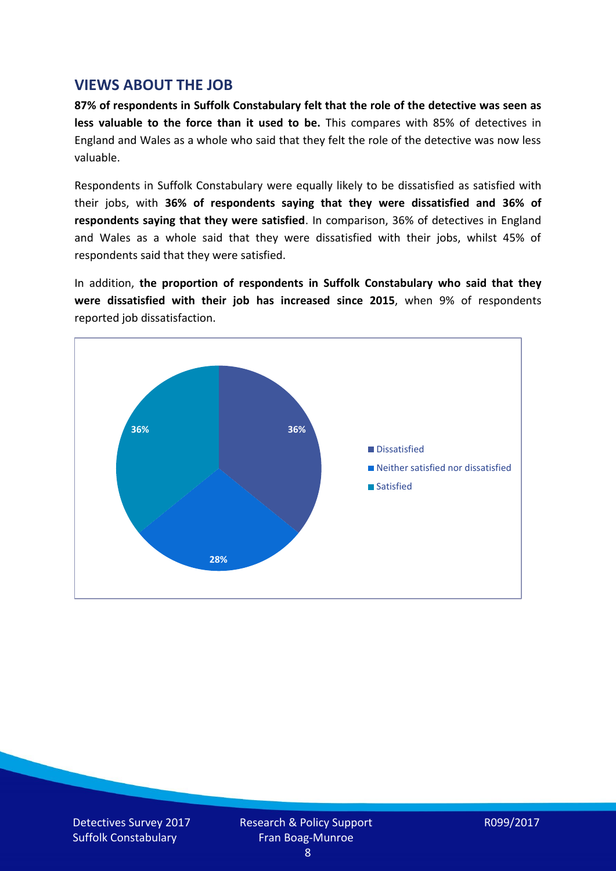## **VIEWS ABOUT THE JOB**

**87% of respondents in Suffolk Constabulary felt that the role of the detective was seen as less valuable to the force than it used to be.** This compares with 85% of detectives in England and Wales as a whole who said that they felt the role of the detective was now less valuable.

Respondents in Suffolk Constabulary were equally likely to be dissatisfied as satisfied with their jobs, with **36% of respondents saying that they were dissatisfied and 36% of respondents saying that they were satisfied**. In comparison, 36% of detectives in England and Wales as a whole said that they were dissatisfied with their jobs, whilst 45% of respondents said that they were satisfied.

In addition, **the proportion of respondents in Suffolk Constabulary who said that they were dissatisfied with their job has increased since 2015**, when 9% of respondents reported job dissatisfaction.

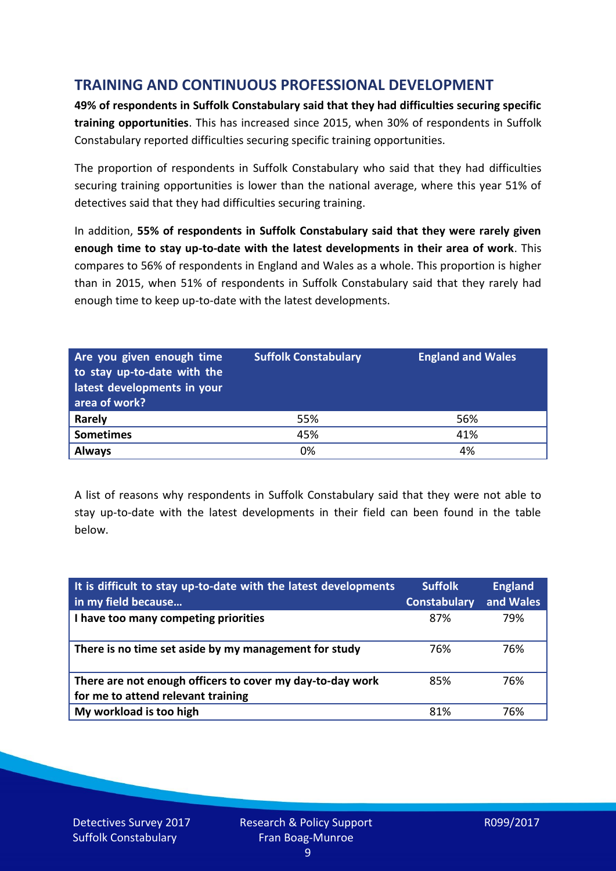# **TRAINING AND CONTINUOUS PROFESSIONAL DEVELOPMENT**

**49% of respondents in Suffolk Constabulary said that they had difficulties securing specific training opportunities**. This has increased since 2015, when 30% of respondents in Suffolk Constabulary reported difficulties securing specific training opportunities.

The proportion of respondents in Suffolk Constabulary who said that they had difficulties securing training opportunities is lower than the national average, where this year 51% of detectives said that they had difficulties securing training.

In addition, **55% of respondents in Suffolk Constabulary said that they were rarely given enough time to stay up-to-date with the latest developments in their area of work**. This compares to 56% of respondents in England and Wales as a whole. This proportion is higher than in 2015, when 51% of respondents in Suffolk Constabulary said that they rarely had enough time to keep up-to-date with the latest developments.

| Are you given enough time<br>to stay up-to-date with the<br>latest developments in your<br>area of work? | <b>Suffolk Constabulary</b> | <b>England and Wales</b> |
|----------------------------------------------------------------------------------------------------------|-----------------------------|--------------------------|
| <b>Rarely</b>                                                                                            | 55%                         | 56%                      |
| <b>Sometimes</b>                                                                                         | 45%                         | 41%                      |
| <b>Always</b>                                                                                            | 0%                          | 4%                       |

A list of reasons why respondents in Suffolk Constabulary said that they were not able to stay up-to-date with the latest developments in their field can been found in the table below.

| It is difficult to stay up-to-date with the latest developments<br>in my field because          | <b>Suffolk</b><br><b>Constabulary</b> | <b>England</b><br>and Wales |
|-------------------------------------------------------------------------------------------------|---------------------------------------|-----------------------------|
| I have too many competing priorities                                                            | 87%                                   | 79%                         |
| There is no time set aside by my management for study                                           | 76%                                   | 76%                         |
| There are not enough officers to cover my day-to-day work<br>for me to attend relevant training | 85%                                   | 76%                         |
| My workload is too high                                                                         | 81%                                   | 76%                         |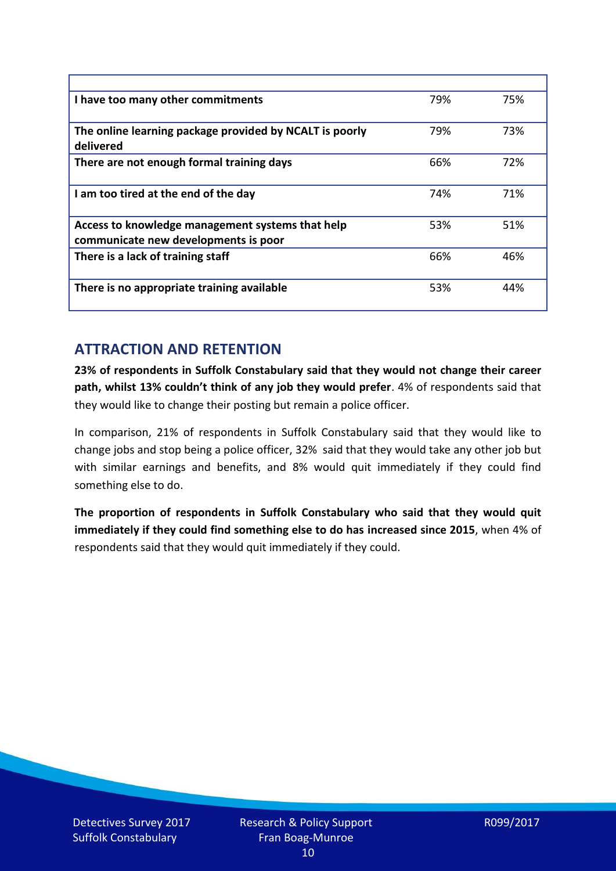| I have too many other commitments                                                        | 79% | 75% |
|------------------------------------------------------------------------------------------|-----|-----|
| The online learning package provided by NCALT is poorly<br>delivered                     | 79% | 73% |
| There are not enough formal training days                                                | 66% | 72% |
| I am too tired at the end of the day                                                     | 74% | 71% |
| Access to knowledge management systems that help<br>communicate new developments is poor | 53% | 51% |
| There is a lack of training staff                                                        | 66% | 46% |
| There is no appropriate training available                                               | 53% | 44% |

# **ATTRACTION AND RETENTION**

**23% of respondents in Suffolk Constabulary said that they would not change their career path, whilst 13% couldn't think of any job they would prefer**. 4% of respondents said that they would like to change their posting but remain a police officer.

In comparison, 21% of respondents in Suffolk Constabulary said that they would like to change jobs and stop being a police officer, 32% said that they would take any other job but with similar earnings and benefits, and 8% would quit immediately if they could find something else to do.

**The proportion of respondents in Suffolk Constabulary who said that they would quit immediately if they could find something else to do has increased since 2015**, when 4% of respondents said that they would quit immediately if they could.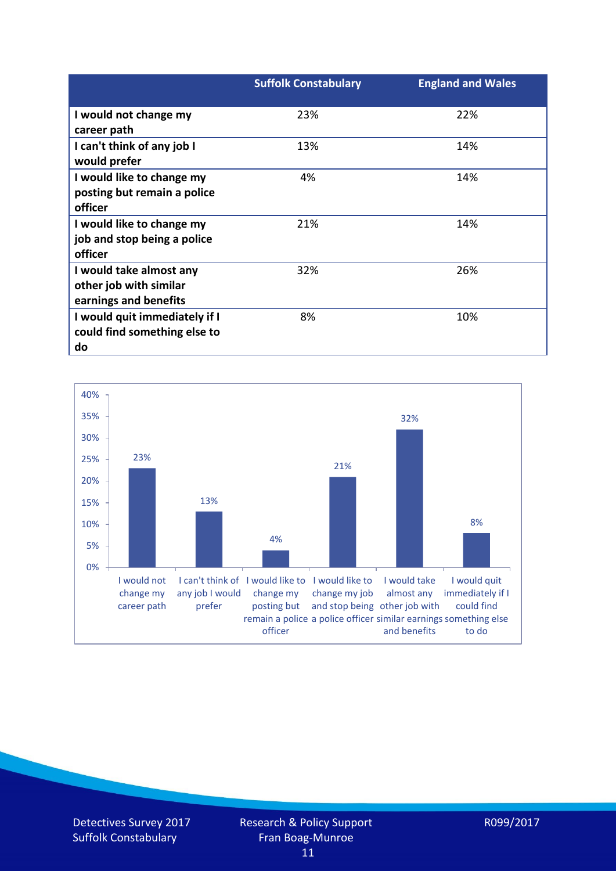|                               | <b>Suffolk Constabulary</b> | <b>England and Wales</b> |
|-------------------------------|-----------------------------|--------------------------|
| I would not change my         | 23%                         | 22%                      |
| career path                   |                             |                          |
| I can't think of any job I    | 13%                         | 14%                      |
| would prefer                  |                             |                          |
| I would like to change my     | 4%                          | 14%                      |
| posting but remain a police   |                             |                          |
| officer                       |                             |                          |
| I would like to change my     | 21%                         | 14%                      |
| job and stop being a police   |                             |                          |
| officer                       |                             |                          |
| I would take almost any       | 32%                         | 26%                      |
| other job with similar        |                             |                          |
| earnings and benefits         |                             |                          |
| I would quit immediately if I | 8%                          | 10%                      |
| could find something else to  |                             |                          |
| do                            |                             |                          |